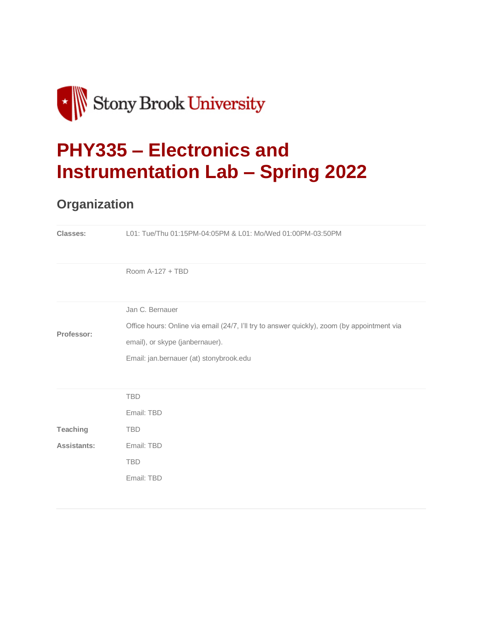

# **PHY335 – [Electronics and](https://you.stonybrook.edu/phy335spring2022/)  [Instrumentation Lab –](https://you.stonybrook.edu/phy335spring2022/) Spring 2022**

### **Organization**

| Classes:           | L01: Tue/Thu 01:15PM-04:05PM & L01: Mo/Wed 01:00PM-03:50PM                                  |  |  |  |  |
|--------------------|---------------------------------------------------------------------------------------------|--|--|--|--|
|                    | Room A-127 + TBD                                                                            |  |  |  |  |
|                    | Jan C. Bernauer                                                                             |  |  |  |  |
| Professor:         | Office hours: Online via email (24/7, I'll try to answer quickly), zoom (by appointment via |  |  |  |  |
|                    | email), or skype (janbernauer).                                                             |  |  |  |  |
|                    | Email: jan.bernauer (at) stonybrook.edu                                                     |  |  |  |  |
|                    |                                                                                             |  |  |  |  |
|                    | <b>TBD</b>                                                                                  |  |  |  |  |
|                    | Email: TBD                                                                                  |  |  |  |  |
| Teaching           | <b>TBD</b>                                                                                  |  |  |  |  |
| <b>Assistants:</b> | Email: TBD                                                                                  |  |  |  |  |
|                    | <b>TBD</b>                                                                                  |  |  |  |  |
|                    | Email: TBD                                                                                  |  |  |  |  |
|                    |                                                                                             |  |  |  |  |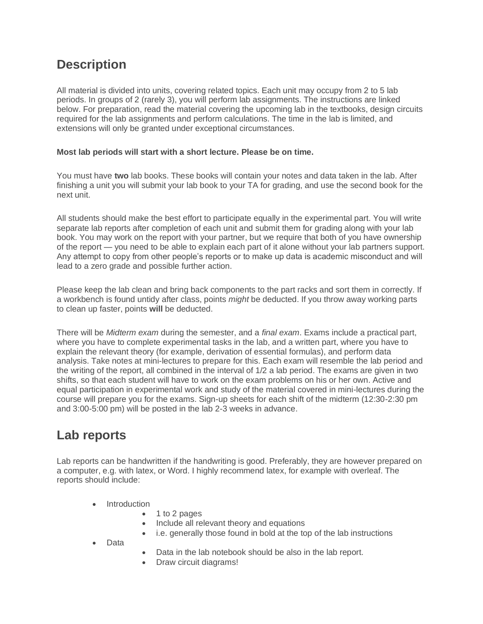#### **Description**

All material is divided into units, covering related topics. Each unit may occupy from 2 to 5 lab periods. In groups of 2 (rarely 3), you will perform lab assignments. The instructions are linked below. For preparation, read the material covering the upcoming lab in the textbooks, design circuits required for the lab assignments and perform calculations. The time in the lab is limited, and extensions will only be granted under exceptional circumstances.

#### **Most lab periods will start with a short lecture. Please be on time.**

You must have **two** lab books. These books will contain your notes and data taken in the lab. After finishing a unit you will submit your lab book to your TA for grading, and use the second book for the next unit.

All students should make the best effort to participate equally in the experimental part. You will write separate lab reports after completion of each unit and submit them for grading along with your lab book. You may work on the report with your partner, but we require that both of you have ownership of the report — you need to be able to explain each part of it alone without your lab partners support. Any attempt to copy from other people's reports or to make up data is academic misconduct and will lead to a zero grade and possible further action.

Please keep the lab clean and bring back components to the part racks and sort them in correctly. If a workbench is found untidy after class, points *might* be deducted. If you throw away working parts to clean up faster, points **will** be deducted.

There will be *Midterm exam* during the semester, and a *final exam*. Exams include a practical part, where you have to complete experimental tasks in the lab, and a written part, where you have to explain the relevant theory (for example, derivation of essential formulas), and perform data analysis. Take notes at mini-lectures to prepare for this. Each exam will resemble the lab period and the writing of the report, all combined in the interval of 1/2 a lab period. The exams are given in two shifts, so that each student will have to work on the exam problems on his or her own. Active and equal participation in experimental work and study of the material covered in mini-lectures during the course will prepare you for the exams. Sign-up sheets for each shift of the midterm (12:30-2:30 pm and 3:00-5:00 pm) will be posted in the lab 2-3 weeks in advance.

#### **Lab reports**

Lab reports can be handwritten if the handwriting is good. Preferably, they are however prepared on a computer, e.g. with latex, or Word. I highly recommend latex, for example with overleaf. The reports should include:

- Introduction
	- 1 to 2 pages
	- Include all relevant theory and equations
	- i.e. generally those found in bold at the top of the lab instructions
- Data
- Data in the lab notebook should be also in the lab report.
- Draw circuit diagrams!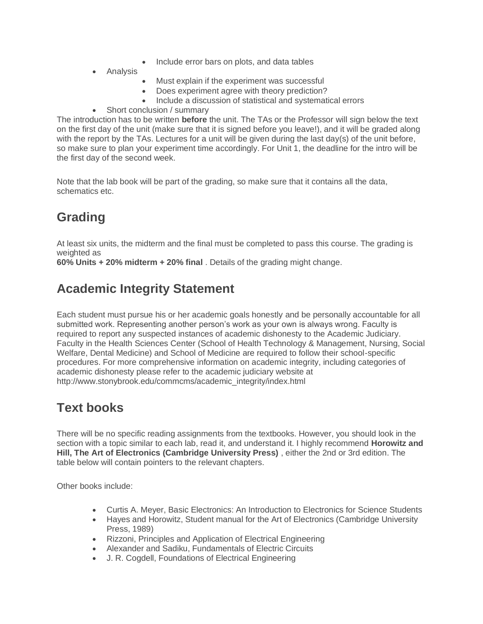- Include error bars on plots, and data tables
- Analysis
- Must explain if the experiment was successful
- Does experiment agree with theory prediction?
- Include a discussion of statistical and systematical errors
- Short conclusion / summary

The introduction has to be written **before** the unit. The TAs or the Professor will sign below the text on the first day of the unit (make sure that it is signed before you leave!), and it will be graded along with the report by the TAs. Lectures for a unit will be given during the last day(s) of the unit before, so make sure to plan your experiment time accordingly. For Unit 1, the deadline for the intro will be the first day of the second week.

Note that the lab book will be part of the grading, so make sure that it contains all the data, schematics etc.

# **Grading**

At least six units, the midterm and the final must be completed to pass this course. The grading is weighted as

**60% Units + 20% midterm + 20% final** . Details of the grading might change.

#### **Academic Integrity Statement**

Each student must pursue his or her academic goals honestly and be personally accountable for all submitted work. Representing another person's work as your own is always wrong. Faculty is required to report any suspected instances of academic dishonesty to the Academic Judiciary. Faculty in the Health Sciences Center (School of Health Technology & Management, Nursing, Social Welfare, Dental Medicine) and School of Medicine are required to follow their school-specific procedures. For more comprehensive information on academic integrity, including categories of academic dishonesty please refer to the academic judiciary website at http://www.stonybrook.edu/commcms/academic\_integrity/index.html

#### **Text books**

There will be no specific reading assignments from the textbooks. However, you should look in the section with a topic similar to each lab, read it, and understand it. I highly recommend **Horowitz and Hill, The Art of Electronics (Cambridge University Press)** , either the 2nd or 3rd edition. The table below will contain pointers to the relevant chapters.

Other books include:

- Curtis A. Meyer, Basic Electronics: An Introduction to Electronics for Science Students
- Hayes and Horowitz, Student manual for the Art of Electronics (Cambridge University Press, 1989)
- Rizzoni, Principles and Application of Electrical Engineering
- Alexander and Sadiku, Fundamentals of Electric Circuits
- J. R. Cogdell, Foundations of Electrical Engineering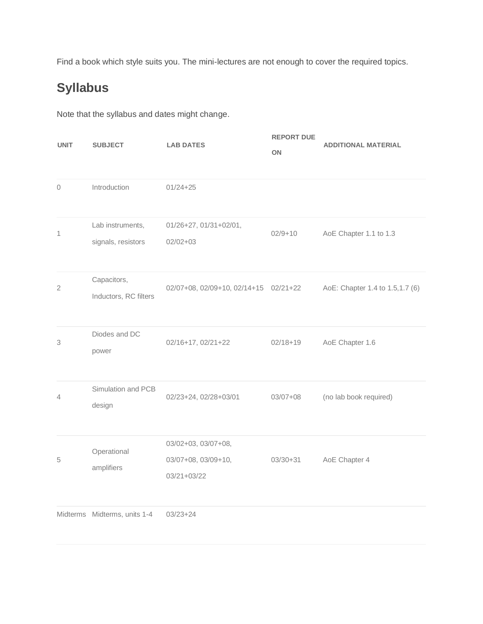Find a book which style suits you. The mini-lectures are not enough to cover the required topics.

# **Syllabus**

Note that the syllabus and dates might change.

| <b>UNIT</b>    | <b>SUBJECT</b>                         | <b>LAB DATES</b>                                          | <b>REPORT DUE</b><br>ON | <b>ADDITIONAL MATERIAL</b>       |
|----------------|----------------------------------------|-----------------------------------------------------------|-------------------------|----------------------------------|
| 0              | Introduction                           | $01/24 + 25$                                              |                         |                                  |
| 1              | Lab instruments,<br>signals, resistors | 01/26+27, 01/31+02/01,<br>$02/02 + 03$                    | $02/9 + 10$             | AoE Chapter 1.1 to 1.3           |
| $\overline{2}$ | Capacitors,<br>Inductors, RC filters   | 02/07+08, 02/09+10, 02/14+15 02/21+22                     |                         | AoE: Chapter 1.4 to 1.5, 1.7 (6) |
| 3              | Diodes and DC<br>power                 | 02/16+17, 02/21+22                                        | $02/18 + 19$            | AoE Chapter 1.6                  |
| 4              | Simulation and PCB<br>design           | 02/23+24, 02/28+03/01                                     | $03/07 + 08$            | (no lab book required)           |
| 5              | Operational<br>amplifiers              | 03/02+03, 03/07+08,<br>03/07+08, 03/09+10,<br>03/21+03/22 | $03/30+31$              | AoE Chapter 4                    |
|                | Midterms Midterms, units 1-4           | $03/23 + 24$                                              |                         |                                  |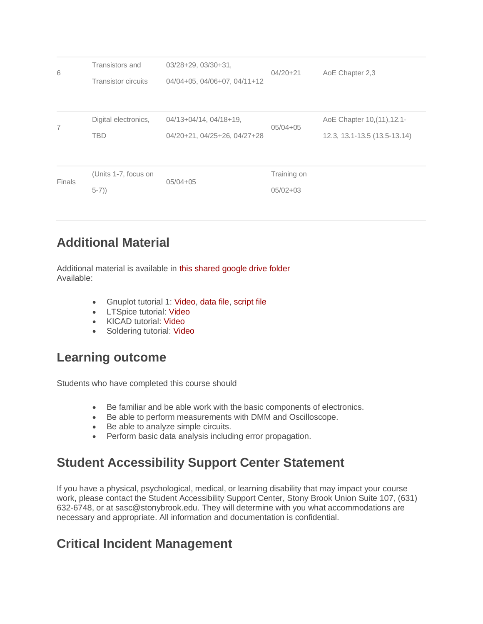| 6             | Transistors and<br><b>Transistor circuits</b> | $03/28+29, 03/30+31.$<br>04/04+05, 04/06+07, 04/11+12  | $04/20 + 21$                | AoE Chapter 2,3                                             |
|---------------|-----------------------------------------------|--------------------------------------------------------|-----------------------------|-------------------------------------------------------------|
| 7             | Digital electronics,<br><b>TBD</b>            | 04/13+04/14, 04/18+19,<br>04/20+21, 04/25+26, 04/27+28 | $05/04 + 05$                | AoE Chapter 10, (11), 12.1-<br>12.3, 13.1-13.5 (13.5-13.14) |
| <b>Finals</b> | (Units 1-7, focus on<br>$(5-7)$               | $05/04 + 05$                                           | Training on<br>$05/02 + 03$ |                                                             |

#### **Additional Material**

Additional material is available in [this shared google drive folder](https://drive.google.com/drive/folders/1aZ2sRKeccgS0t_1ofX4QjkFnsJSQRq3y?usp=sharing) Available:

- Gnuplot tutorial 1: [Video,](https://drive.google.com/open?id=10QTmJKsqSJu5IDx2EL6nacI6i7DCez_f) [data file,](https://drive.google.com/open?id=1FUq0jFQukQBgTbzzNXC3PKssEzYMzaNB) [script file](https://drive.google.com/open?id=1O2iwWBKaCf7e2cYu8wHRwnbVQtDKgGfZ)
- LTSpice tutorial: [Video](https://drive.google.com/open?id=1QVesbSX4cvPp6jlxTEBhBF0UXaAflwqo)
- KICAD tutorial: [Video](https://drive.google.com/open?id=1DoWiaMIBc0d-3HmsrF5LHgAKevjvYBCr)
- Soldering tutorial: [Video](https://drive.google.com/file/d/1Itp5EGrKdo3yFQfHmART3CBQKZHjLZPs/view?usp=sharing)

#### **Learning outcome**

Students who have completed this course should

- Be familiar and be able work with the basic components of electronics.
- Be able to perform measurements with DMM and Oscilloscope.
- Be able to analyze simple circuits.
- Perform basic data analysis including error propagation.

#### **Student Accessibility Support Center Statement**

If you have a physical, psychological, medical, or learning disability that may impact your course work, please contact the Student Accessibility Support Center, Stony Brook Union Suite 107, (631) 632-6748, or at sasc@stonybrook.edu. They will determine with you what accommodations are necessary and appropriate. All information and documentation is confidential.

#### **Critical Incident Management**